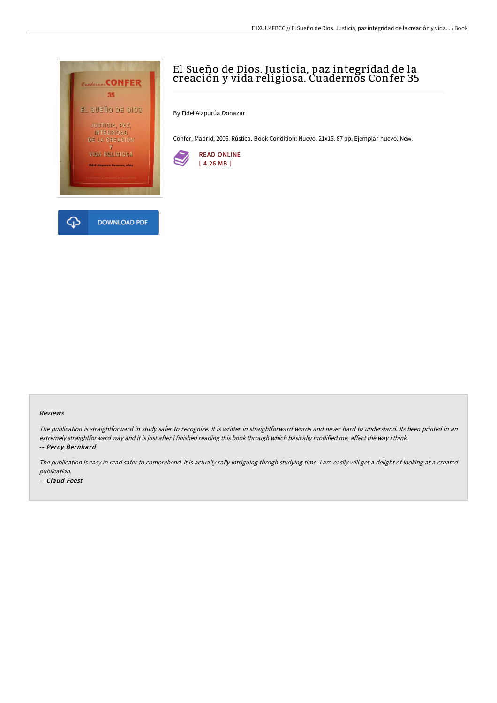

# El Sueño de Dios. Justicia, paz integridad de la creación y vida religiosa. Cuadernos Confer 35

By Fidel Aizpurúa Donazar

Confer, Madrid, 2006. Rústica. Book Condition: Nuevo. 21x15. 87 pp. Ejemplar nuevo. New.



#### Reviews

The publication is straightforward in study safer to recognize. It is writter in straightforward words and never hard to understand. Its been printed in an extremely straightforward way and it is just after i finished reading this book through which basically modified me, affect the way i think. -- Percy Bernhard

The publication is easy in read safer to comprehend. It is actually rally intriguing throgh studying time. <sup>I</sup> am easily will get <sup>a</sup> delight of looking at <sup>a</sup> created publication.

-- Claud Feest